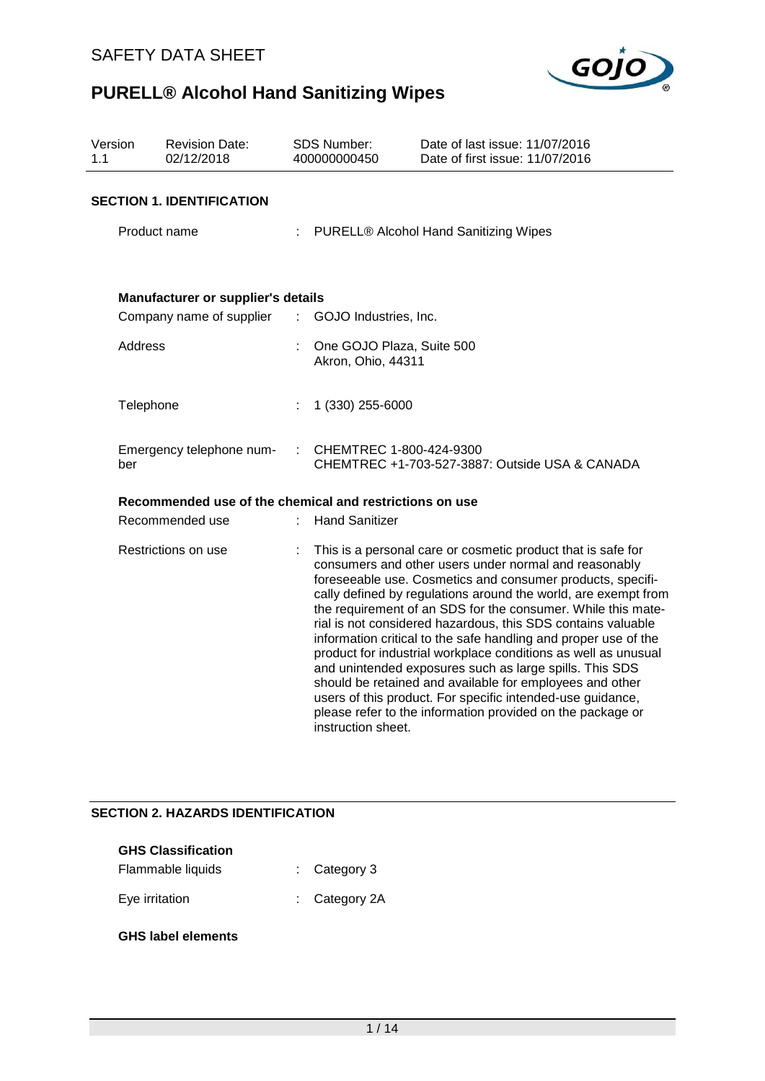

| Version<br>1.1 | <b>Revision Date:</b><br>02/12/2018                     |                           | <b>SDS Number:</b><br>400000000450              | Date of last issue: 11/07/2016<br>Date of first issue: 11/07/2016                                                                                                                                                                                                                                                                                                                                                                                                                                                                                                                                                                                                                                                                                                             |  |  |
|----------------|---------------------------------------------------------|---------------------------|-------------------------------------------------|-------------------------------------------------------------------------------------------------------------------------------------------------------------------------------------------------------------------------------------------------------------------------------------------------------------------------------------------------------------------------------------------------------------------------------------------------------------------------------------------------------------------------------------------------------------------------------------------------------------------------------------------------------------------------------------------------------------------------------------------------------------------------------|--|--|
|                | <b>SECTION 1. IDENTIFICATION</b>                        |                           |                                                 |                                                                                                                                                                                                                                                                                                                                                                                                                                                                                                                                                                                                                                                                                                                                                                               |  |  |
|                | Product name                                            |                           | <b>PURELL® Alcohol Hand Sanitizing Wipes</b>    |                                                                                                                                                                                                                                                                                                                                                                                                                                                                                                                                                                                                                                                                                                                                                                               |  |  |
|                |                                                         |                           |                                                 |                                                                                                                                                                                                                                                                                                                                                                                                                                                                                                                                                                                                                                                                                                                                                                               |  |  |
|                | Manufacturer or supplier's details                      |                           |                                                 |                                                                                                                                                                                                                                                                                                                                                                                                                                                                                                                                                                                                                                                                                                                                                                               |  |  |
|                | Company name of supplier                                | $\mathbb{Z}^{\mathbb{Z}}$ | GOJO Industries, Inc.                           |                                                                                                                                                                                                                                                                                                                                                                                                                                                                                                                                                                                                                                                                                                                                                                               |  |  |
|                | <b>Address</b>                                          |                           | One GOJO Plaza, Suite 500<br>Akron, Ohio, 44311 |                                                                                                                                                                                                                                                                                                                                                                                                                                                                                                                                                                                                                                                                                                                                                                               |  |  |
|                | Telephone                                               |                           | 1 (330) 255-6000                                |                                                                                                                                                                                                                                                                                                                                                                                                                                                                                                                                                                                                                                                                                                                                                                               |  |  |
| ber            | Emergency telephone num-                                | ÷                         | CHEMTREC 1-800-424-9300                         | CHEMTREC +1-703-527-3887: Outside USA & CANADA                                                                                                                                                                                                                                                                                                                                                                                                                                                                                                                                                                                                                                                                                                                                |  |  |
|                | Recommended use of the chemical and restrictions on use |                           |                                                 |                                                                                                                                                                                                                                                                                                                                                                                                                                                                                                                                                                                                                                                                                                                                                                               |  |  |
|                | Recommended use                                         |                           | <b>Hand Sanitizer</b>                           |                                                                                                                                                                                                                                                                                                                                                                                                                                                                                                                                                                                                                                                                                                                                                                               |  |  |
|                | Restrictions on use                                     |                           | instruction sheet.                              | This is a personal care or cosmetic product that is safe for<br>consumers and other users under normal and reasonably<br>foreseeable use. Cosmetics and consumer products, specifi-<br>cally defined by regulations around the world, are exempt from<br>the requirement of an SDS for the consumer. While this mate-<br>rial is not considered hazardous, this SDS contains valuable<br>information critical to the safe handling and proper use of the<br>product for industrial workplace conditions as well as unusual<br>and unintended exposures such as large spills. This SDS<br>should be retained and available for employees and other<br>users of this product. For specific intended-use guidance,<br>please refer to the information provided on the package or |  |  |

## **SECTION 2. HAZARDS IDENTIFICATION**

| <b>GHS Classification</b> |  |                          |  |  |  |  |  |
|---------------------------|--|--------------------------|--|--|--|--|--|
| Flammable liquids         |  | $\therefore$ Category 3  |  |  |  |  |  |
| Eye irritation            |  | $\therefore$ Category 2A |  |  |  |  |  |

**GHS label elements**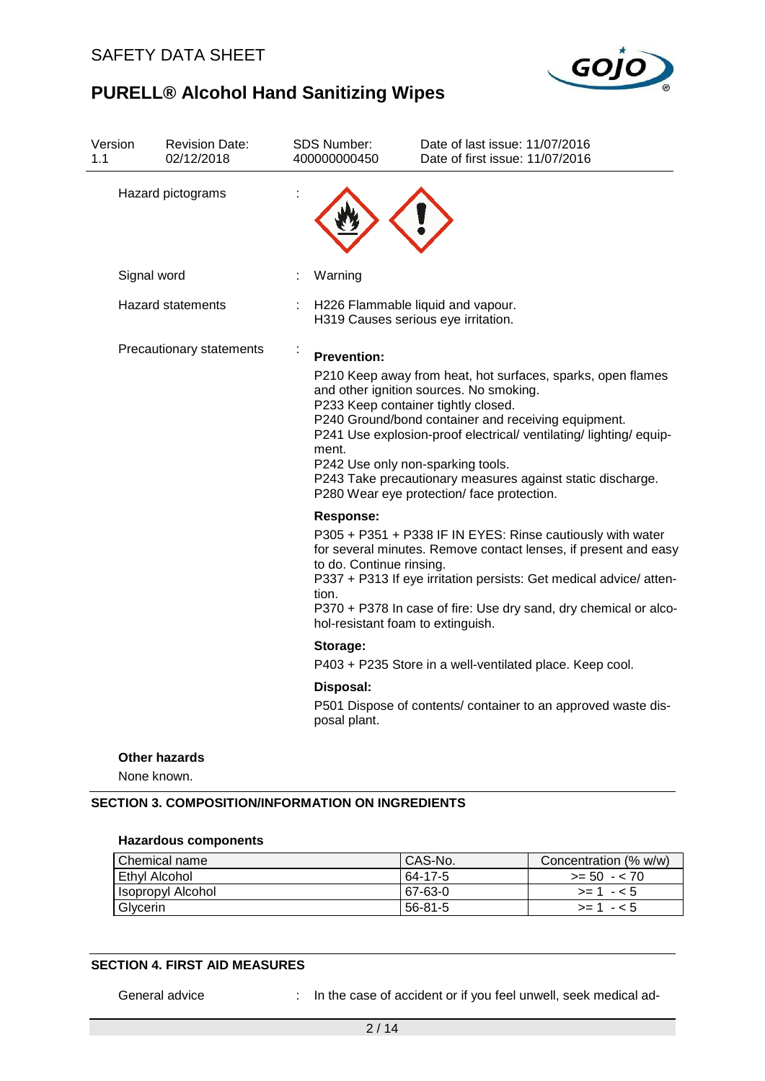

| Hazard pictograms<br>Signal word<br>Warning<br><b>Hazard statements</b><br>H226 Flammable liquid and vapour.<br>H319 Causes serious eye irritation.<br>Precautionary statements<br>÷<br><b>Prevention:</b><br>P210 Keep away from heat, hot surfaces, sparks, open flames<br>and other ignition sources. No smoking.<br>P233 Keep container tightly closed.<br>P240 Ground/bond container and receiving equipment.<br>P241 Use explosion-proof electrical/ ventilating/ lighting/ equip-<br>ment.<br>P242 Use only non-sparking tools.<br>P243 Take precautionary measures against static discharge.<br>P280 Wear eye protection/ face protection.<br><b>Response:</b><br>P305 + P351 + P338 IF IN EYES: Rinse cautiously with water<br>for several minutes. Remove contact lenses, if present and easy<br>to do. Continue rinsing.<br>P337 + P313 If eye irritation persists: Get medical advice/ atten-<br>tion.<br>P370 + P378 In case of fire: Use dry sand, dry chemical or alco-<br>hol-resistant foam to extinguish.<br>Storage:<br>P403 + P235 Store in a well-ventilated place. Keep cool.<br>Disposal:<br>P501 Dispose of contents/ container to an approved waste dis-<br>posal plant. | Version<br>1.1 | <b>Revision Date:</b><br>02/12/2018 | <b>SDS Number:</b><br>400000000450 | Date of last issue: 11/07/2016<br>Date of first issue: 11/07/2016 |
|---------------------------------------------------------------------------------------------------------------------------------------------------------------------------------------------------------------------------------------------------------------------------------------------------------------------------------------------------------------------------------------------------------------------------------------------------------------------------------------------------------------------------------------------------------------------------------------------------------------------------------------------------------------------------------------------------------------------------------------------------------------------------------------------------------------------------------------------------------------------------------------------------------------------------------------------------------------------------------------------------------------------------------------------------------------------------------------------------------------------------------------------------------------------------------------------------|----------------|-------------------------------------|------------------------------------|-------------------------------------------------------------------|
|                                                                                                                                                                                                                                                                                                                                                                                                                                                                                                                                                                                                                                                                                                                                                                                                                                                                                                                                                                                                                                                                                                                                                                                                   |                |                                     |                                    |                                                                   |
|                                                                                                                                                                                                                                                                                                                                                                                                                                                                                                                                                                                                                                                                                                                                                                                                                                                                                                                                                                                                                                                                                                                                                                                                   |                |                                     |                                    |                                                                   |
|                                                                                                                                                                                                                                                                                                                                                                                                                                                                                                                                                                                                                                                                                                                                                                                                                                                                                                                                                                                                                                                                                                                                                                                                   |                |                                     |                                    |                                                                   |
|                                                                                                                                                                                                                                                                                                                                                                                                                                                                                                                                                                                                                                                                                                                                                                                                                                                                                                                                                                                                                                                                                                                                                                                                   |                |                                     |                                    |                                                                   |
|                                                                                                                                                                                                                                                                                                                                                                                                                                                                                                                                                                                                                                                                                                                                                                                                                                                                                                                                                                                                                                                                                                                                                                                                   |                |                                     |                                    |                                                                   |
|                                                                                                                                                                                                                                                                                                                                                                                                                                                                                                                                                                                                                                                                                                                                                                                                                                                                                                                                                                                                                                                                                                                                                                                                   |                |                                     |                                    |                                                                   |
|                                                                                                                                                                                                                                                                                                                                                                                                                                                                                                                                                                                                                                                                                                                                                                                                                                                                                                                                                                                                                                                                                                                                                                                                   |                |                                     |                                    |                                                                   |

**Other hazards**

None known.

## **SECTION 3. COMPOSITION/INFORMATION ON INGREDIENTS**

#### **Hazardous components**

| <b>Chemical name</b> | CAS-No. | Concentration (% w/w) |
|----------------------|---------|-----------------------|
| Ethyl Alcohol        | 64-17-5 | $>= 50 - 70$          |
| I Isopropyl Alcohol  | 67-63-0 | $>= 1 - 5$            |
| Glycerin             | 56-81-5 | $> = 1 - 5$           |

## **SECTION 4. FIRST AID MEASURES**

General advice : In the case of accident or if you feel unwell, seek medical ad-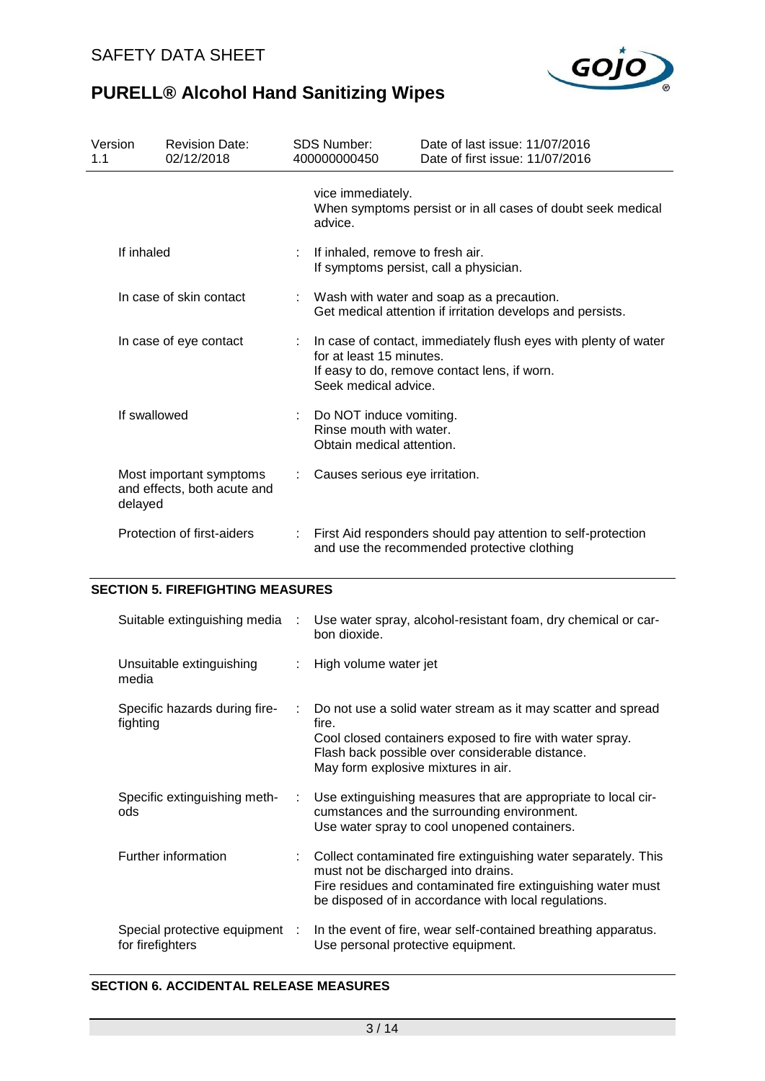

| Version<br>1.1 | <b>Revision Date:</b><br>02/12/2018                    |                                | <b>SDS Number:</b><br>400000000450                                                                                                                                  | Date of last issue: 11/07/2016<br>Date of first issue: 11/07/2016                                           |  |  |  |
|----------------|--------------------------------------------------------|--------------------------------|---------------------------------------------------------------------------------------------------------------------------------------------------------------------|-------------------------------------------------------------------------------------------------------------|--|--|--|
|                |                                                        |                                | vice immediately.<br>advice.                                                                                                                                        | When symptoms persist or in all cases of doubt seek medical                                                 |  |  |  |
|                | If inhaled                                             |                                | If inhaled, remove to fresh air.<br>If symptoms persist, call a physician.                                                                                          |                                                                                                             |  |  |  |
|                | In case of skin contact                                |                                | Wash with water and soap as a precaution.<br>Get medical attention if irritation develops and persists.                                                             |                                                                                                             |  |  |  |
|                | In case of eye contact                                 |                                | In case of contact, immediately flush eyes with plenty of water<br>for at least 15 minutes.<br>If easy to do, remove contact lens, if worn.<br>Seek medical advice. |                                                                                                             |  |  |  |
|                | If swallowed                                           |                                | : Do NOT induce vomiting.<br>Rinse mouth with water.<br>Obtain medical attention.                                                                                   |                                                                                                             |  |  |  |
| delayed        | Most important symptoms<br>and effects, both acute and | Causes serious eye irritation. |                                                                                                                                                                     |                                                                                                             |  |  |  |
|                | Protection of first-aiders                             |                                |                                                                                                                                                                     | First Aid responders should pay attention to self-protection<br>and use the recommended protective clothing |  |  |  |

### **SECTION 5. FIREFIGHTING MEASURES**

| Suitable extinguishing media                       | ÷ | Use water spray, alcohol-resistant foam, dry chemical or car-<br>bon dioxide.                                                                                                                                                   |
|----------------------------------------------------|---|---------------------------------------------------------------------------------------------------------------------------------------------------------------------------------------------------------------------------------|
| Unsuitable extinguishing<br>media                  |   | : High volume water jet                                                                                                                                                                                                         |
| Specific hazards during fire-<br>fighting          | ÷ | Do not use a solid water stream as it may scatter and spread<br>fire.<br>Cool closed containers exposed to fire with water spray.<br>Flash back possible over considerable distance.<br>May form explosive mixtures in air.     |
| Specific extinguishing meth-<br>ods                |   | Use extinguishing measures that are appropriate to local cir-<br>cumstances and the surrounding environment.<br>Use water spray to cool unopened containers.                                                                    |
| Further information                                |   | : Collect contaminated fire extinguishing water separately. This<br>must not be discharged into drains.<br>Fire residues and contaminated fire extinguishing water must<br>be disposed of in accordance with local regulations. |
| Special protective equipment :<br>for firefighters |   | In the event of fire, wear self-contained breathing apparatus.<br>Use personal protective equipment.                                                                                                                            |

## **SECTION 6. ACCIDENTAL RELEASE MEASURES**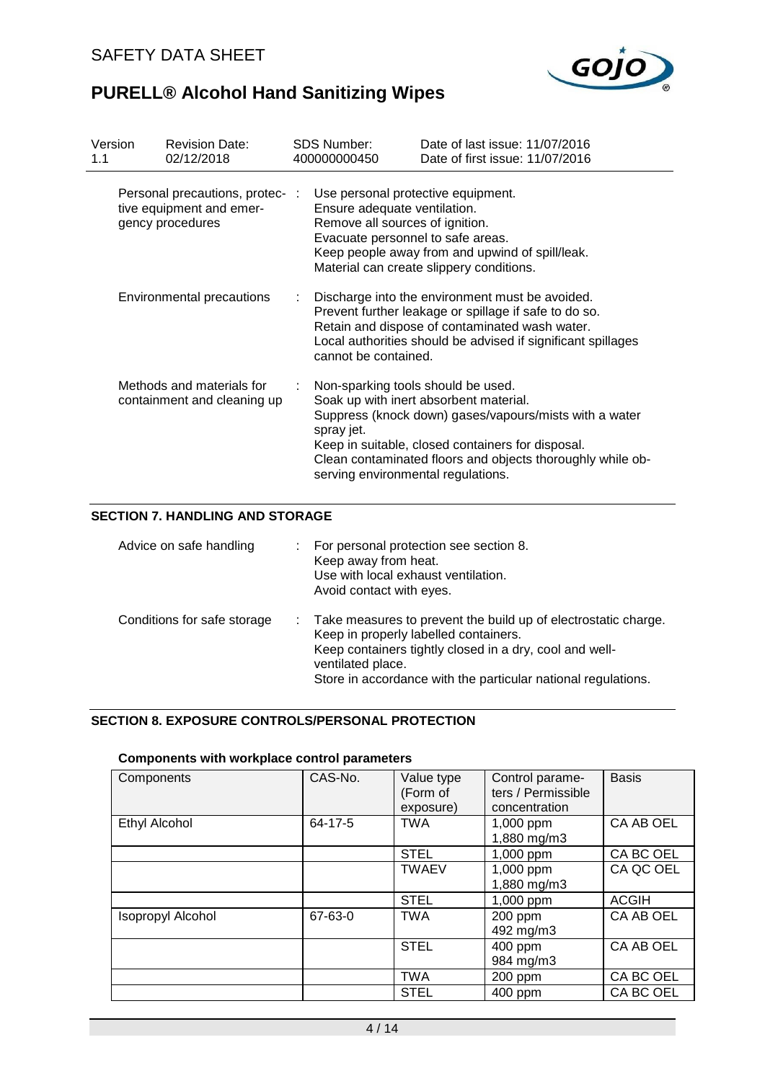| Version<br>1.1 |                                                                                       | <b>Revision Date:</b><br>02/12/2018                                             |                                                                                                                                                                                                                                                    | SDS Number:<br>400000000450                                                                                                                                                                                                                                                                                   | Date of last issue: 11/07/2016<br>Date of first issue: 11/07/2016                           |  |  |
|----------------|---------------------------------------------------------------------------------------|---------------------------------------------------------------------------------|----------------------------------------------------------------------------------------------------------------------------------------------------------------------------------------------------------------------------------------------------|---------------------------------------------------------------------------------------------------------------------------------------------------------------------------------------------------------------------------------------------------------------------------------------------------------------|---------------------------------------------------------------------------------------------|--|--|
|                |                                                                                       | Personal precautions, protec- :<br>tive equipment and emer-<br>gency procedures |                                                                                                                                                                                                                                                    | Use personal protective equipment.<br>Ensure adequate ventilation.<br>Remove all sources of ignition.<br>Evacuate personnel to safe areas.                                                                                                                                                                    | Keep people away from and upwind of spill/leak.<br>Material can create slippery conditions. |  |  |
|                | Environmental precautions<br>Methods and materials for<br>containment and cleaning up |                                                                                 | Discharge into the environment must be avoided.<br>Prevent further leakage or spillage if safe to do so.<br>Retain and dispose of contaminated wash water.<br>Local authorities should be advised if significant spillages<br>cannot be contained. |                                                                                                                                                                                                                                                                                                               |                                                                                             |  |  |
|                |                                                                                       |                                                                                 |                                                                                                                                                                                                                                                    | Non-sparking tools should be used.<br>Soak up with inert absorbent material.<br>Suppress (knock down) gases/vapours/mists with a water<br>spray jet.<br>Keep in suitable, closed containers for disposal.<br>Clean contaminated floors and objects thoroughly while ob-<br>serving environmental regulations. |                                                                                             |  |  |

## **SECTION 7. HANDLING AND STORAGE**

| Advice on safe handling     | For personal protection see section 8.<br>Keep away from heat.<br>Use with local exhaust ventilation.<br>Avoid contact with eyes.                                                                                                                          |
|-----------------------------|------------------------------------------------------------------------------------------------------------------------------------------------------------------------------------------------------------------------------------------------------------|
| Conditions for safe storage | : Take measures to prevent the build up of electrostatic charge.<br>Keep in properly labelled containers.<br>Keep containers tightly closed in a dry, cool and well-<br>ventilated place.<br>Store in accordance with the particular national regulations. |

## **SECTION 8. EXPOSURE CONTROLS/PERSONAL PROTECTION**

### **Components with workplace control parameters**

| Components               | CAS-No. | Value type<br>(Form of<br>exposure) | Control parame-<br>ters / Permissible<br>concentration | <b>Basis</b> |
|--------------------------|---------|-------------------------------------|--------------------------------------------------------|--------------|
| <b>Ethyl Alcohol</b>     | 64-17-5 | <b>TWA</b>                          | 1,000 ppm<br>1,880 mg/m3                               | CA AB OEL    |
|                          |         | <b>STEL</b>                         | 1,000 ppm                                              | CA BC OEL    |
|                          |         | <b>TWAEV</b>                        | 1,000 ppm                                              | CA QC OEL    |
|                          |         |                                     | 1,880 mg/m3                                            |              |
|                          |         | <b>STEL</b>                         | 1,000 ppm                                              | <b>ACGIH</b> |
| <b>Isopropyl Alcohol</b> | 67-63-0 | <b>TWA</b>                          | 200 ppm<br>492 mg/m3                                   | CA AB OEL    |
|                          |         | <b>STEL</b>                         | 400 ppm<br>984 mg/m3                                   | CA AB OEL    |
|                          |         | <b>TWA</b>                          | 200 ppm                                                | CA BC OEL    |
|                          |         | <b>STEL</b>                         | 400 ppm                                                | CA BC OEL    |

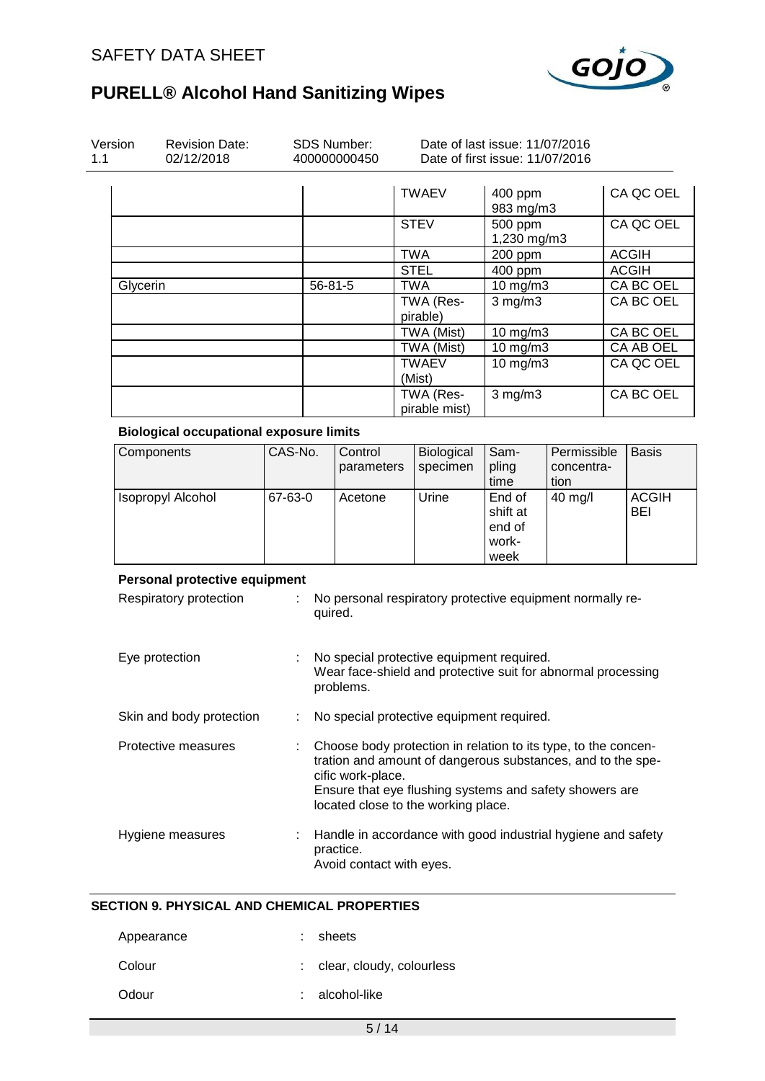

| Version<br>1.1 | <b>Revision Date:</b><br>02/12/2018                     |         | <b>SDS Number:</b><br>400000000450                                                                                                                                                                                                                   |                                  | Date of last issue: 11/07/2016<br>Date of first issue: 11/07/2016 |                                                              |                                               |                                   |           |                            |
|----------------|---------------------------------------------------------|---------|------------------------------------------------------------------------------------------------------------------------------------------------------------------------------------------------------------------------------------------------------|----------------------------------|-------------------------------------------------------------------|--------------------------------------------------------------|-----------------------------------------------|-----------------------------------|-----------|----------------------------|
|                |                                                         |         |                                                                                                                                                                                                                                                      |                                  |                                                                   | <b>TWAEV</b>                                                 | 400 ppm<br>983 mg/m3                          |                                   |           | CA QC OEL                  |
|                |                                                         |         |                                                                                                                                                                                                                                                      |                                  |                                                                   | <b>STEV</b>                                                  | 500 ppm<br>1,230 mg/m3                        |                                   |           | CA QC OEL                  |
|                |                                                         |         |                                                                                                                                                                                                                                                      |                                  |                                                                   | <b>TWA</b>                                                   | 200 ppm                                       |                                   |           | <b>ACGIH</b>               |
|                |                                                         |         |                                                                                                                                                                                                                                                      |                                  |                                                                   | <b>STEL</b>                                                  | 400 ppm                                       |                                   |           | <b>ACGIH</b>               |
| Glycerin       |                                                         |         | 56-81-5                                                                                                                                                                                                                                              |                                  |                                                                   | <b>TWA</b>                                                   | 10 mg/m3                                      |                                   |           | CA BC OEL                  |
|                |                                                         |         |                                                                                                                                                                                                                                                      |                                  |                                                                   | TWA (Res-<br>pirable)                                        | $3$ mg/m $3$                                  |                                   |           | CA BC OEL                  |
|                |                                                         |         |                                                                                                                                                                                                                                                      |                                  |                                                                   | TWA (Mist)                                                   | 10 mg/m3                                      |                                   |           | CA BC OEL                  |
|                |                                                         |         |                                                                                                                                                                                                                                                      |                                  |                                                                   | TWA (Mist)                                                   | 10 mg/m3                                      |                                   |           | CA AB OEL                  |
|                |                                                         |         |                                                                                                                                                                                                                                                      |                                  |                                                                   | <b>TWAEV</b><br>(Mist)                                       | 10 mg/m3                                      |                                   |           | CA QC OEL                  |
|                |                                                         |         |                                                                                                                                                                                                                                                      |                                  |                                                                   | TWA (Res-<br>pirable mist)                                   | $3$ mg/m $3$                                  |                                   | CA BC OEL |                            |
|                | <b>Biological occupational exposure limits</b>          |         |                                                                                                                                                                                                                                                      |                                  |                                                                   |                                                              |                                               |                                   |           |                            |
|                | Components                                              | CAS-No. |                                                                                                                                                                                                                                                      | Control<br>parameters<br>Acetone |                                                                   | Biological<br>specimen                                       | Sam-<br>pling<br>time                         | Permissible<br>concentra-<br>tion |           | <b>Basis</b>               |
|                | <b>Isopropyl Alcohol</b>                                | 67-63-0 |                                                                                                                                                                                                                                                      |                                  |                                                                   | Urine                                                        | End of<br>shift at<br>end of<br>work-<br>week | 40 mg/l                           |           | <b>ACGIH</b><br><b>BEI</b> |
|                | Personal protective equipment<br>Respiratory protection |         | No personal respiratory protective equipment normally re-<br>quired.                                                                                                                                                                                 |                                  |                                                                   |                                                              |                                               |                                   |           |                            |
|                | Eye protection                                          |         | No special protective equipment required.<br>$\mathbb{Z}^n$<br>Wear face-shield and protective suit for abnormal processing<br>problems.                                                                                                             |                                  |                                                                   |                                                              |                                               |                                   |           |                            |
|                | Skin and body protection                                |         |                                                                                                                                                                                                                                                      |                                  |                                                                   | No special protective equipment required.                    |                                               |                                   |           |                            |
|                | Protective measures                                     |         | Choose body protection in relation to its type, to the concen-<br>tration and amount of dangerous substances, and to the spe-<br>cific work-place.<br>Ensure that eye flushing systems and safety showers are<br>located close to the working place. |                                  |                                                                   |                                                              |                                               |                                   |           |                            |
|                | Hygiene measures                                        |         |                                                                                                                                                                                                                                                      |                                  |                                                                   | Handle in accordance with good industrial hygiene and safety |                                               |                                   |           |                            |

#### **SECTION 9. PHYSICAL AND CHEMICAL PROPERTIES**

| Appearance | : sheets                    |
|------------|-----------------------------|
| Colour     | : clear, cloudy, colourless |
| Odour      | : alcohol-like              |

Avoid contact with eyes.

practice.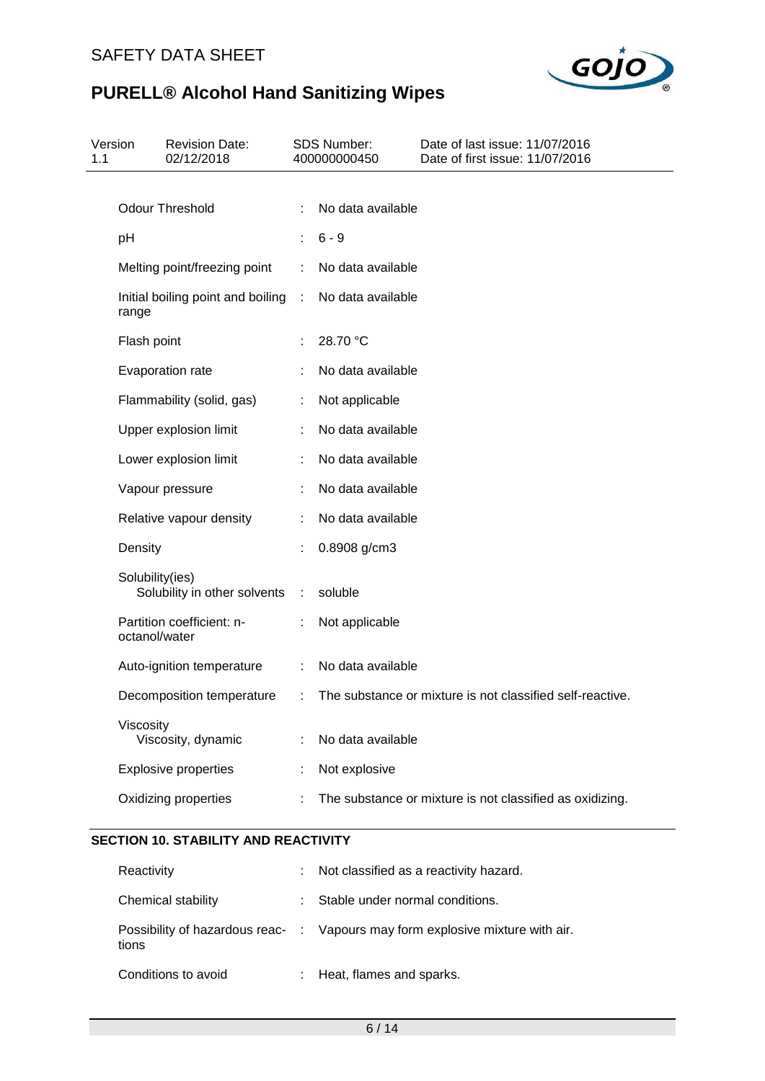

| Version<br>1.1 |                 | <b>Revision Date:</b><br>02/12/2018 |           | SDS Number:<br>400000000450 | Date of last issue: 11/07/2016<br>Date of first issue: 11/07/2016 |
|----------------|-----------------|-------------------------------------|-----------|-----------------------------|-------------------------------------------------------------------|
|                |                 | <b>Odour Threshold</b>              |           | No data available           |                                                                   |
|                |                 |                                     |           |                             |                                                                   |
|                | pH              |                                     |           | $6 - 9$                     |                                                                   |
|                |                 | Melting point/freezing point        | ÷         | No data available           |                                                                   |
|                | range           | Initial boiling point and boiling   | $\sim 10$ | No data available           |                                                                   |
|                | Flash point     |                                     |           | 28.70 °C                    |                                                                   |
|                |                 | Evaporation rate                    |           | No data available           |                                                                   |
|                |                 | Flammability (solid, gas)           | ÷         | Not applicable              |                                                                   |
|                |                 | Upper explosion limit               |           | No data available           |                                                                   |
|                |                 | Lower explosion limit               |           | No data available           |                                                                   |
|                |                 | Vapour pressure                     |           | No data available           |                                                                   |
|                |                 | Relative vapour density             |           | No data available           |                                                                   |
|                | Density         |                                     |           | 0.8908 g/cm3                |                                                                   |
|                | Solubility(ies) | Solubility in other solvents        | ÷         | soluble                     |                                                                   |
|                | octanol/water   | Partition coefficient: n-           |           | Not applicable              |                                                                   |
|                |                 | Auto-ignition temperature           | ÷         | No data available           |                                                                   |
|                |                 | Decomposition temperature           |           |                             | The substance or mixture is not classified self-reactive.         |
|                | Viscosity       | Viscosity, dynamic                  |           | No data available           |                                                                   |
|                |                 | <b>Explosive properties</b>         |           | Not explosive               |                                                                   |
|                |                 | Oxidizing properties                |           |                             | The substance or mixture is not classified as oxidizing.          |

## **SECTION 10. STABILITY AND REACTIVITY**

| Reactivity          | : Not classified as a reactivity hazard.                                      |
|---------------------|-------------------------------------------------------------------------------|
| Chemical stability  | : Stable under normal conditions.                                             |
| tions               | Possibility of hazardous reac- : Vapours may form explosive mixture with air. |
| Conditions to avoid | : Heat, flames and sparks.                                                    |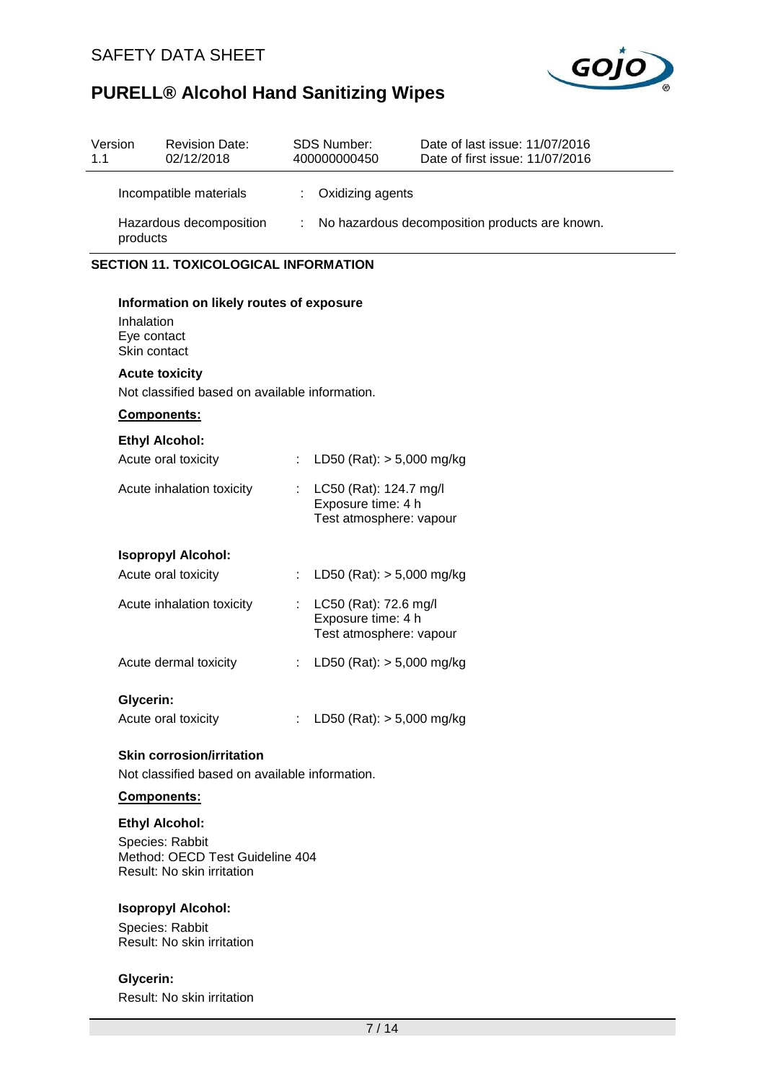

| Version<br>1.1 | <b>Revision Date:</b><br>02/12/2018                                                                            |                                                      | <b>SDS Number:</b><br>400000000450                                      | Date of last issue: 11/07/2016<br>Date of first issue: 11/07/2016 |  |  |  |  |
|----------------|----------------------------------------------------------------------------------------------------------------|------------------------------------------------------|-------------------------------------------------------------------------|-------------------------------------------------------------------|--|--|--|--|
|                | Incompatible materials                                                                                         | ÷.                                                   | Oxidizing agents                                                        |                                                                   |  |  |  |  |
|                | Hazardous decomposition<br>products                                                                            | No hazardous decomposition products are known.<br>÷. |                                                                         |                                                                   |  |  |  |  |
|                | <b>SECTION 11. TOXICOLOGICAL INFORMATION</b>                                                                   |                                                      |                                                                         |                                                                   |  |  |  |  |
|                | Information on likely routes of exposure<br>Inhalation<br>Eye contact<br>Skin contact<br><b>Acute toxicity</b> |                                                      |                                                                         |                                                                   |  |  |  |  |
|                | Not classified based on available information.                                                                 |                                                      |                                                                         |                                                                   |  |  |  |  |
|                | Components:                                                                                                    |                                                      |                                                                         |                                                                   |  |  |  |  |
|                | <b>Ethyl Alcohol:</b><br>Acute oral toxicity                                                                   | ÷.                                                   | LD50 (Rat): $> 5,000$ mg/kg                                             |                                                                   |  |  |  |  |
|                | Acute inhalation toxicity                                                                                      |                                                      | LC50 (Rat): 124.7 mg/l<br>Exposure time: 4 h<br>Test atmosphere: vapour |                                                                   |  |  |  |  |
|                | <b>Isopropyl Alcohol:</b>                                                                                      |                                                      |                                                                         |                                                                   |  |  |  |  |
|                | Acute oral toxicity                                                                                            | ÷                                                    | LD50 (Rat): $> 5,000$ mg/kg                                             |                                                                   |  |  |  |  |
|                | Acute inhalation toxicity                                                                                      | ÷                                                    | LC50 (Rat): 72.6 mg/l<br>Exposure time: 4 h<br>Test atmosphere: vapour  |                                                                   |  |  |  |  |
|                | Acute dermal toxicity                                                                                          | ÷                                                    | LD50 (Rat): $> 5,000$ mg/kg                                             |                                                                   |  |  |  |  |
|                | <b>Glycerin:</b>                                                                                               |                                                      |                                                                         |                                                                   |  |  |  |  |
|                | Acute oral toxicity                                                                                            |                                                      | : LD50 (Rat): $> 5,000$ mg/kg                                           |                                                                   |  |  |  |  |
|                | <b>Skin corrosion/irritation</b><br>Not classified based on available information.                             |                                                      |                                                                         |                                                                   |  |  |  |  |
|                | Components:                                                                                                    |                                                      |                                                                         |                                                                   |  |  |  |  |
|                | <b>Ethyl Alcohol:</b>                                                                                          |                                                      |                                                                         |                                                                   |  |  |  |  |

Species: Rabbit Method: OECD Test Guideline 404 Result: No skin irritation

## **Isopropyl Alcohol:**

Species: Rabbit Result: No skin irritation

**Glycerin:** Result: No skin irritation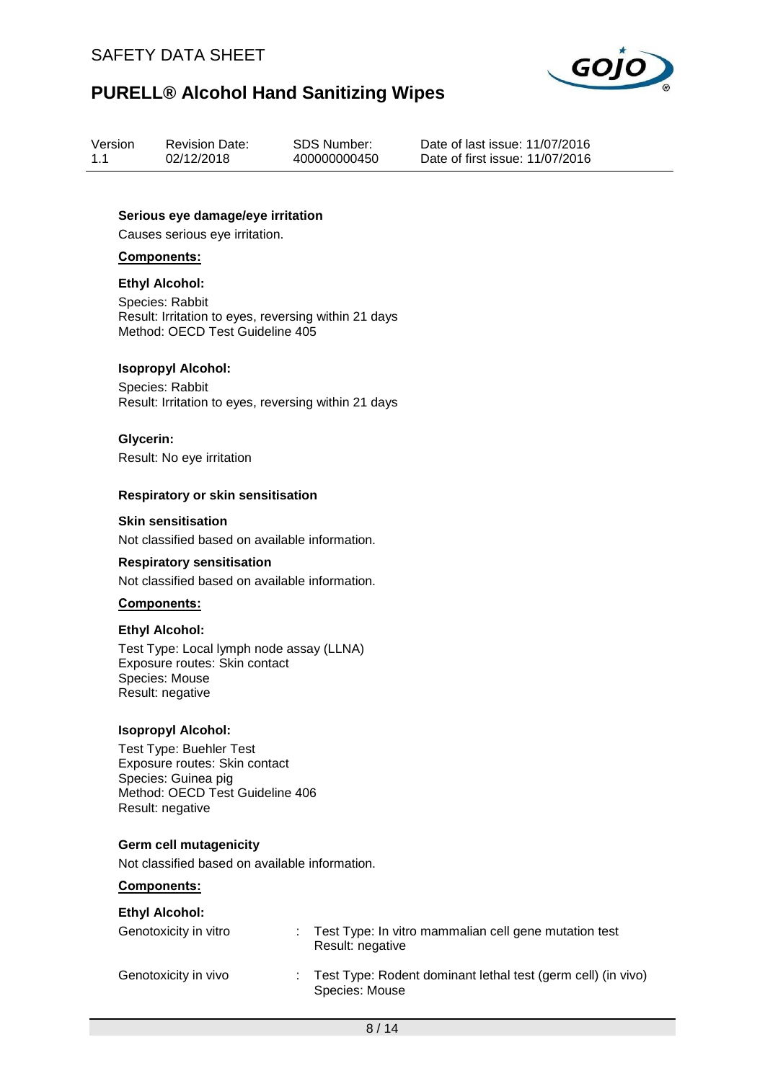

| Version | <b>Revision Date:</b> | SDS Number:  |
|---------|-----------------------|--------------|
| 1.1     | 02/12/2018            | 400000000450 |

Date of last issue: 11/07/2016 Date of first issue: 11/07/2016

**Serious eye damage/eye irritation**

Causes serious eye irritation.

#### **Components:**

#### **Ethyl Alcohol:**

Species: Rabbit Result: Irritation to eyes, reversing within 21 days Method: OECD Test Guideline 405

#### **Isopropyl Alcohol:**

Species: Rabbit Result: Irritation to eyes, reversing within 21 days

#### **Glycerin:**

Result: No eye irritation

#### **Respiratory or skin sensitisation**

#### **Skin sensitisation**

Not classified based on available information.

#### **Respiratory sensitisation**

Not classified based on available information.

#### **Components:**

#### **Ethyl Alcohol:**

Test Type: Local lymph node assay (LLNA) Exposure routes: Skin contact Species: Mouse Result: negative

#### **Isopropyl Alcohol:**

Test Type: Buehler Test Exposure routes: Skin contact Species: Guinea pig Method: OECD Test Guideline 406 Result: negative

#### **Germ cell mutagenicity**

Not classified based on available information.

#### **Components:**

| <b>Ethyl Alcohol:</b> |                                                                                  |
|-----------------------|----------------------------------------------------------------------------------|
| Genotoxicity in vitro | : Test Type: In vitro mammalian cell gene mutation test<br>Result: negative      |
| Genotoxicity in vivo  | : Test Type: Rodent dominant lethal test (germ cell) (in vivo)<br>Species: Mouse |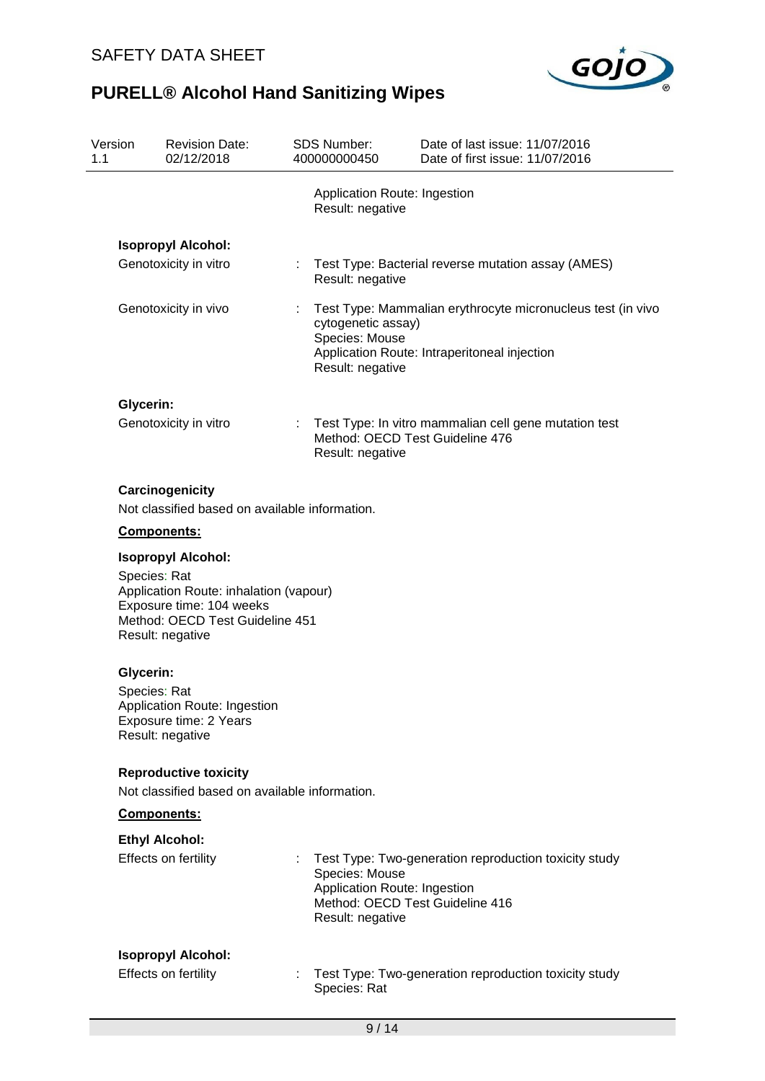

| Version<br>1.1 |                  | <b>Revision Date:</b><br>02/12/2018                                                                                       |   | <b>SDS Number:</b><br>400000000450                                 | Date of last issue: 11/07/2016<br>Date of first issue: 11/07/2016                                           |
|----------------|------------------|---------------------------------------------------------------------------------------------------------------------------|---|--------------------------------------------------------------------|-------------------------------------------------------------------------------------------------------------|
|                |                  |                                                                                                                           |   | Application Route: Ingestion<br>Result: negative                   |                                                                                                             |
|                |                  | <b>Isopropyl Alcohol:</b>                                                                                                 |   |                                                                    |                                                                                                             |
|                |                  | Genotoxicity in vitro                                                                                                     | ÷ | Result: negative                                                   | Test Type: Bacterial reverse mutation assay (AMES)                                                          |
|                |                  | Genotoxicity in vivo                                                                                                      |   | cytogenetic assay)<br>Species: Mouse<br>Result: negative           | Test Type: Mammalian erythrocyte micronucleus test (in vivo<br>Application Route: Intraperitoneal injection |
|                | <b>Glycerin:</b> |                                                                                                                           |   |                                                                    |                                                                                                             |
|                |                  | Genotoxicity in vitro                                                                                                     |   | Result: negative                                                   | Test Type: In vitro mammalian cell gene mutation test<br>Method: OECD Test Guideline 476                    |
|                |                  | Carcinogenicity<br>Not classified based on available information.                                                         |   |                                                                    |                                                                                                             |
|                |                  | Components:                                                                                                               |   |                                                                    |                                                                                                             |
|                |                  | <b>Isopropyl Alcohol:</b>                                                                                                 |   |                                                                    |                                                                                                             |
|                | Species: Rat     | Application Route: inhalation (vapour)<br>Exposure time: 104 weeks<br>Method: OECD Test Guideline 451<br>Result: negative |   |                                                                    |                                                                                                             |
|                | Glycerin:        |                                                                                                                           |   |                                                                    |                                                                                                             |
|                | Species: Rat     | Application Route: Ingestion<br>Exposure time: 2 Years<br>Result: negative                                                |   |                                                                    |                                                                                                             |
|                |                  | <b>Reproductive toxicity</b>                                                                                              |   |                                                                    |                                                                                                             |
|                |                  | Not classified based on available information.                                                                            |   |                                                                    |                                                                                                             |
|                |                  | Components:                                                                                                               |   |                                                                    |                                                                                                             |
|                |                  | <b>Ethyl Alcohol:</b>                                                                                                     |   |                                                                    |                                                                                                             |
|                |                  | Effects on fertility                                                                                                      |   | Species: Mouse<br>Application Route: Ingestion<br>Result: negative | Test Type: Two-generation reproduction toxicity study<br>Method: OECD Test Guideline 416                    |
|                |                  | <b>Isopropyl Alcohol:</b>                                                                                                 |   |                                                                    |                                                                                                             |
|                |                  | Effects on fertility                                                                                                      | ÷ | Species: Rat                                                       | Test Type: Two-generation reproduction toxicity study                                                       |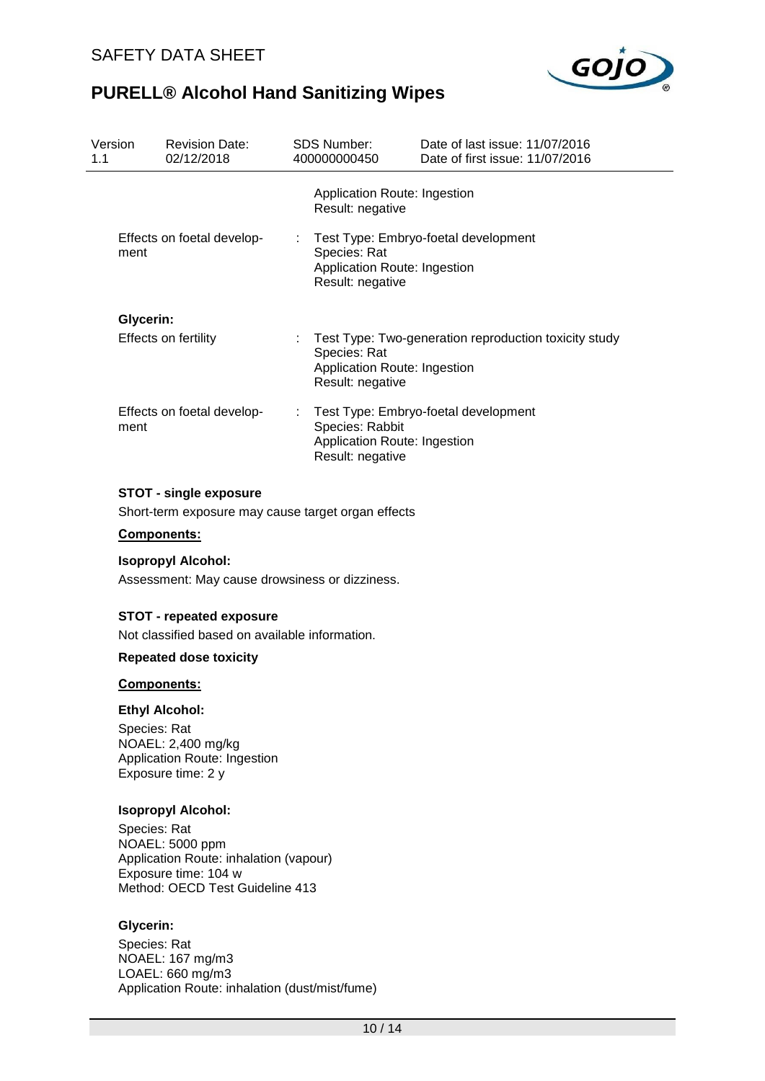

| Version<br>1.1 | <b>Revision Date:</b><br>02/12/2018                                                                                                  | <b>SDS Number:</b><br>400000000450                                  | Date of last issue: 11/07/2016<br>Date of first issue: 11/07/2016 |
|----------------|--------------------------------------------------------------------------------------------------------------------------------------|---------------------------------------------------------------------|-------------------------------------------------------------------|
|                |                                                                                                                                      | Application Route: Ingestion<br>Result: negative                    |                                                                   |
| ment           | Effects on foetal develop-                                                                                                           | Species: Rat<br>Application Route: Ingestion<br>Result: negative    | Test Type: Embryo-foetal development                              |
|                | Glycerin:                                                                                                                            |                                                                     |                                                                   |
|                | Effects on fertility                                                                                                                 | Species: Rat<br>Application Route: Ingestion<br>Result: negative    | Test Type: Two-generation reproduction toxicity study             |
| ment           | Effects on foetal develop-                                                                                                           | Species: Rabbit<br>Application Route: Ingestion<br>Result: negative | Test Type: Embryo-foetal development                              |
|                | <b>STOT - single exposure</b><br>Short-term exposure may cause target organ effects                                                  |                                                                     |                                                                   |
|                | <b>Components:</b>                                                                                                                   |                                                                     |                                                                   |
|                | <b>Isopropyl Alcohol:</b><br>Assessment: May cause drowsiness or dizziness.                                                          |                                                                     |                                                                   |
|                | <b>STOT - repeated exposure</b><br>Not classified based on available information.                                                    |                                                                     |                                                                   |
|                | <b>Repeated dose toxicity</b>                                                                                                        |                                                                     |                                                                   |
|                | <b>Components:</b>                                                                                                                   |                                                                     |                                                                   |
|                | <b>Ethyl Alcohol:</b>                                                                                                                |                                                                     |                                                                   |
|                | Species: Rat<br>NOAEL: 2,400 mg/kg<br>Application Route: Ingestion<br>Exposure time: 2 y                                             |                                                                     |                                                                   |
|                | <b>Isopropyl Alcohol:</b>                                                                                                            |                                                                     |                                                                   |
|                | Species: Rat<br>NOAEL: 5000 ppm<br>Application Route: inhalation (vapour)<br>Exposure time: 104 w<br>Method: OECD Test Guideline 413 |                                                                     |                                                                   |

## **Glycerin:**

Species: Rat NOAEL: 167 mg/m3 LOAEL: 660 mg/m3 Application Route: inhalation (dust/mist/fume)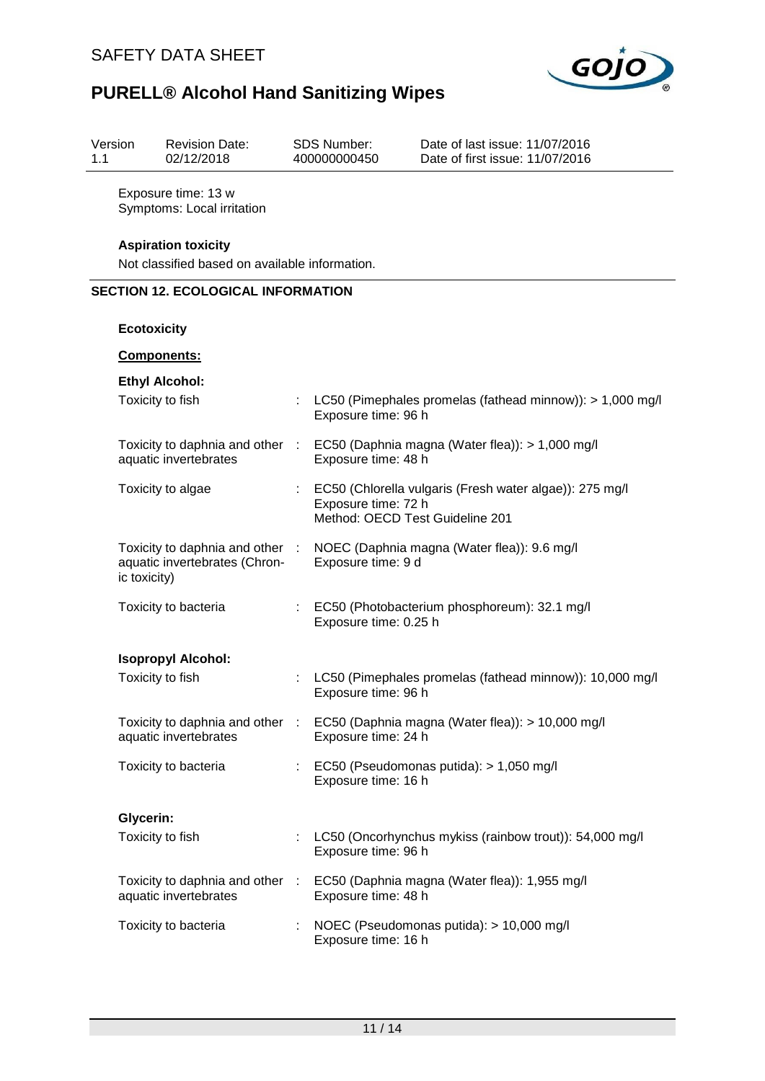

| 1.1 | Version                                                                      | <b>Revision Date:</b><br>02/12/2018                              |    | <b>SDS Number:</b><br>400000000450                     | Date of last issue: 11/07/2016<br>Date of first issue: 11/07/2016 |  |  |  |  |
|-----|------------------------------------------------------------------------------|------------------------------------------------------------------|----|--------------------------------------------------------|-------------------------------------------------------------------|--|--|--|--|
|     |                                                                              | Exposure time: 13 w<br>Symptoms: Local irritation                |    |                                                        |                                                                   |  |  |  |  |
|     | <b>Aspiration toxicity</b><br>Not classified based on available information. |                                                                  |    |                                                        |                                                                   |  |  |  |  |
|     | <b>SECTION 12. ECOLOGICAL INFORMATION</b>                                    |                                                                  |    |                                                        |                                                                   |  |  |  |  |
|     | <b>Ecotoxicity</b>                                                           |                                                                  |    |                                                        |                                                                   |  |  |  |  |
|     |                                                                              | Components:                                                      |    |                                                        |                                                                   |  |  |  |  |
|     |                                                                              | <b>Ethyl Alcohol:</b>                                            |    |                                                        |                                                                   |  |  |  |  |
|     |                                                                              | Toxicity to fish                                                 |    | Exposure time: 96 h                                    | : LC50 (Pimephales promelas (fathead minnow)): > 1,000 mg/l       |  |  |  |  |
|     |                                                                              | Toxicity to daphnia and other :<br>aquatic invertebrates         |    | Exposure time: 48 h                                    | EC50 (Daphnia magna (Water flea)): > 1,000 mg/l                   |  |  |  |  |
|     |                                                                              | Toxicity to algae                                                |    | Exposure time: 72 h<br>Method: OECD Test Guideline 201 | EC50 (Chlorella vulgaris (Fresh water algae)): 275 mg/l           |  |  |  |  |
|     | ic toxicity)                                                                 | Toxicity to daphnia and other :<br>aquatic invertebrates (Chron- |    | Exposure time: 9 d                                     | NOEC (Daphnia magna (Water flea)): 9.6 mg/l                       |  |  |  |  |
|     |                                                                              | Toxicity to bacteria                                             |    | Exposure time: 0.25 h                                  | : EC50 (Photobacterium phosphoreum): 32.1 mg/l                    |  |  |  |  |
|     |                                                                              | <b>Isopropyl Alcohol:</b>                                        |    |                                                        |                                                                   |  |  |  |  |
|     |                                                                              | Toxicity to fish                                                 |    | Exposure time: 96 h                                    | LC50 (Pimephales promelas (fathead minnow)): 10,000 mg/l          |  |  |  |  |
|     |                                                                              | Toxicity to daphnia and other :<br>aquatic invertebrates         |    | Exposure time: 24 h                                    | EC50 (Daphnia magna (Water flea)): > 10,000 mg/l                  |  |  |  |  |
|     |                                                                              | Toxicity to bacteria                                             |    | Exposure time: 16 h                                    | : EC50 (Pseudomonas putida): $> 1,050$ mg/l                       |  |  |  |  |
|     | Glycerin:                                                                    |                                                                  |    |                                                        |                                                                   |  |  |  |  |
|     |                                                                              | Toxicity to fish                                                 |    | Exposure time: 96 h                                    | LC50 (Oncorhynchus mykiss (rainbow trout)): 54,000 mg/l           |  |  |  |  |
|     |                                                                              | Toxicity to daphnia and other :<br>aquatic invertebrates         |    | Exposure time: 48 h                                    | EC50 (Daphnia magna (Water flea)): 1,955 mg/l                     |  |  |  |  |
|     |                                                                              | Toxicity to bacteria                                             | t. | Exposure time: 16 h                                    | NOEC (Pseudomonas putida): > 10,000 mg/l                          |  |  |  |  |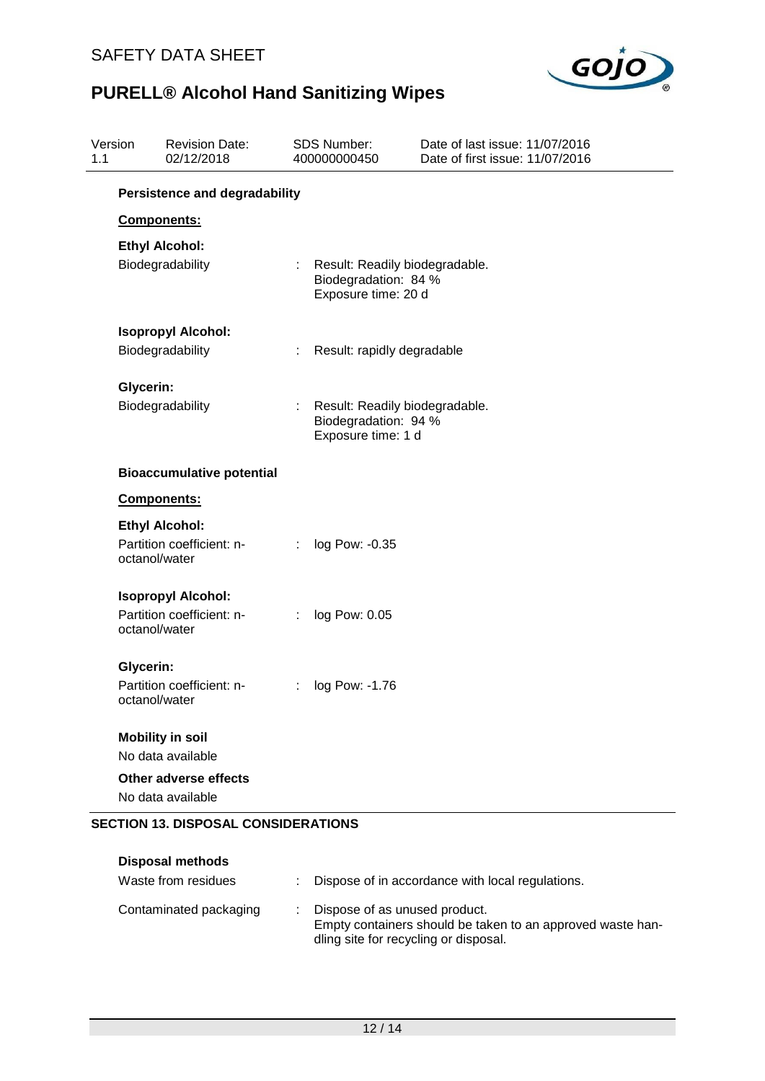

| Version<br>1.1 |           | <b>Revision Date:</b><br>02/12/2018                                 |   | <b>SDS Number:</b><br>400000000450                                            | Date of last issue: 11/07/2016<br>Date of first issue: 11/07/2016 |
|----------------|-----------|---------------------------------------------------------------------|---|-------------------------------------------------------------------------------|-------------------------------------------------------------------|
|                |           | <b>Persistence and degradability</b>                                |   |                                                                               |                                                                   |
|                |           | Components:                                                         |   |                                                                               |                                                                   |
|                |           | <b>Ethyl Alcohol:</b>                                               |   |                                                                               |                                                                   |
|                |           | Biodegradability                                                    |   | Result: Readily biodegradable.<br>Biodegradation: 84 %<br>Exposure time: 20 d |                                                                   |
|                |           | <b>Isopropyl Alcohol:</b>                                           |   |                                                                               |                                                                   |
|                |           | Biodegradability                                                    | ÷ | Result: rapidly degradable                                                    |                                                                   |
|                | Glycerin: |                                                                     |   |                                                                               |                                                                   |
|                |           | Biodegradability                                                    |   | Result: Readily biodegradable.<br>Biodegradation: 94 %<br>Exposure time: 1 d  |                                                                   |
|                |           | <b>Bioaccumulative potential</b>                                    |   |                                                                               |                                                                   |
|                |           | Components:                                                         |   |                                                                               |                                                                   |
|                |           | <b>Ethyl Alcohol:</b><br>Partition coefficient: n-<br>octanol/water |   | log Pow: -0.35                                                                |                                                                   |
|                |           | <b>Isopropyl Alcohol:</b>                                           |   |                                                                               |                                                                   |
|                |           | Partition coefficient: n-<br>octanol/water                          | ÷ | log Pow: 0.05                                                                 |                                                                   |
|                | Glycerin: |                                                                     |   |                                                                               |                                                                   |
|                |           | Partition coefficient: n-<br>octanol/water                          | ÷ | log Pow: -1.76                                                                |                                                                   |
|                |           | <b>Mobility in soil</b>                                             |   |                                                                               |                                                                   |
|                |           | No data available                                                   |   |                                                                               |                                                                   |
|                |           | Other adverse effects                                               |   |                                                                               |                                                                   |
|                |           | No data available                                                   |   |                                                                               |                                                                   |
|                |           | <b>SECTION 13. DISPOSAL CONSIDERATIONS</b>                          |   |                                                                               |                                                                   |

| <b>Disposal methods</b><br>Waste from residues | : Dispose of in accordance with local regulations.                                                                                   |
|------------------------------------------------|--------------------------------------------------------------------------------------------------------------------------------------|
| Contaminated packaging                         | Dispose of as unused product.<br>Empty containers should be taken to an approved waste han-<br>dling site for recycling or disposal. |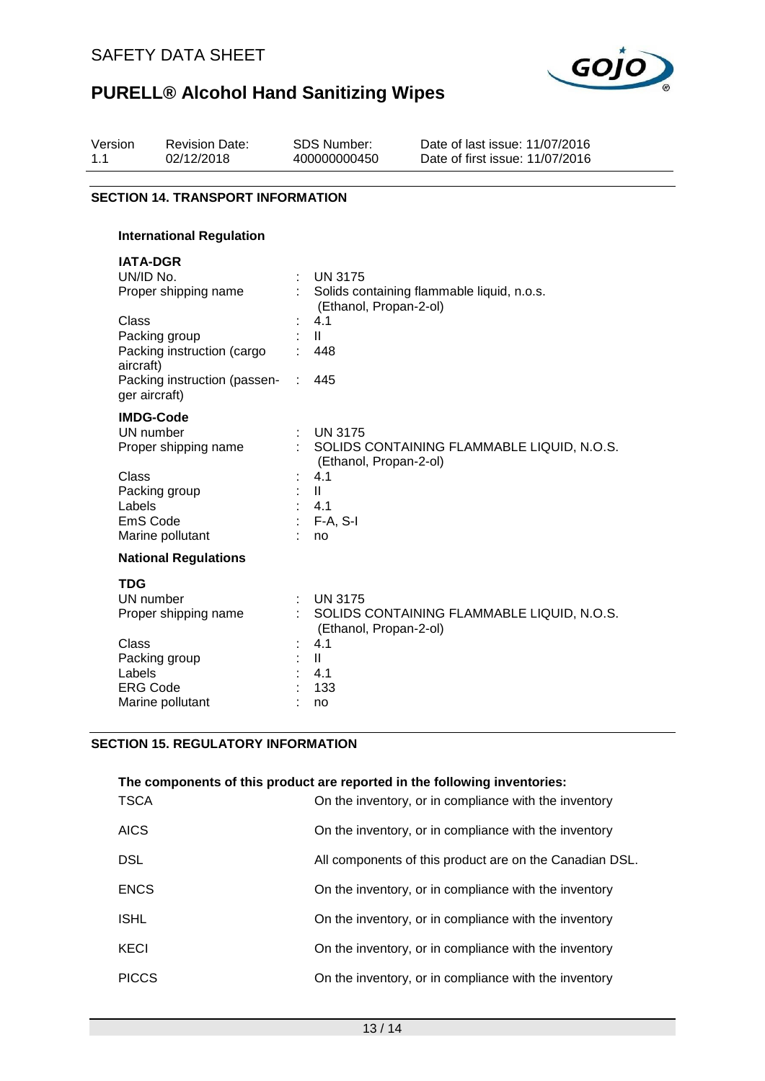

| Version<br>1.1 | <b>Revision Date:</b><br>02/12/2018       |   | <b>SDS Number:</b><br>400000000450 | Date of last issue: 11/07/2016<br>Date of first issue: 11/07/2016 |  |  |  |  |
|----------------|-------------------------------------------|---|------------------------------------|-------------------------------------------------------------------|--|--|--|--|
|                | <b>SECTION 14. TRANSPORT INFORMATION</b>  |   |                                    |                                                                   |  |  |  |  |
|                | <b>International Regulation</b>           |   |                                    |                                                                   |  |  |  |  |
|                | <b>IATA-DGR</b>                           |   |                                    |                                                                   |  |  |  |  |
|                | UN/ID No.                                 |   | <b>UN 3175</b>                     |                                                                   |  |  |  |  |
|                | Proper shipping name                      |   | (Ethanol, Propan-2-ol)             | Solids containing flammable liquid, n.o.s.                        |  |  |  |  |
|                | Class                                     |   | 4.1                                |                                                                   |  |  |  |  |
|                | Packing group                             |   | $\mathbf{II}$                      |                                                                   |  |  |  |  |
|                | Packing instruction (cargo                |   | 448                                |                                                                   |  |  |  |  |
|                | aircraft)<br>Packing instruction (passen- | ÷ | 445                                |                                                                   |  |  |  |  |
|                | ger aircraft)                             |   |                                    |                                                                   |  |  |  |  |
|                | <b>IMDG-Code</b>                          |   |                                    |                                                                   |  |  |  |  |
|                | UN number                                 |   | <b>UN 3175</b>                     |                                                                   |  |  |  |  |
|                | Proper shipping name                      |   | (Ethanol, Propan-2-ol)             | SOLIDS CONTAINING FLAMMABLE LIQUID, N.O.S.                        |  |  |  |  |
|                | <b>Class</b>                              |   | 4.1                                |                                                                   |  |  |  |  |
|                | Packing group                             |   | $\mathbf{II}$                      |                                                                   |  |  |  |  |
|                | Labels                                    |   | 4.1                                |                                                                   |  |  |  |  |
|                | EmS Code                                  |   | $F-A, S-I$                         |                                                                   |  |  |  |  |
|                | Marine pollutant                          |   | no                                 |                                                                   |  |  |  |  |
|                | <b>National Regulations</b>               |   |                                    |                                                                   |  |  |  |  |
|                | <b>TDG</b>                                |   |                                    |                                                                   |  |  |  |  |
|                | UN number                                 |   | <b>UN 3175</b>                     |                                                                   |  |  |  |  |
|                | Proper shipping name                      |   |                                    | SOLIDS CONTAINING FLAMMABLE LIQUID, N.O.S.                        |  |  |  |  |
|                |                                           |   | (Ethanol, Propan-2-ol)             |                                                                   |  |  |  |  |
|                | <b>Class</b>                              |   | 4.1                                |                                                                   |  |  |  |  |
|                | Packing group<br>Labels                   |   | $\mathbf{II}$<br>4.1               |                                                                   |  |  |  |  |
|                | <b>ERG Code</b>                           |   | 133                                |                                                                   |  |  |  |  |
|                | Marine pollutant                          |   | no                                 |                                                                   |  |  |  |  |
|                |                                           |   |                                    |                                                                   |  |  |  |  |

### **SECTION 15. REGULATORY INFORMATION**

| <b>TSCA</b>  | The components of this product are reported in the following inventories:<br>On the inventory, or in compliance with the inventory |
|--------------|------------------------------------------------------------------------------------------------------------------------------------|
| <b>AICS</b>  | On the inventory, or in compliance with the inventory                                                                              |
| <b>DSL</b>   | All components of this product are on the Canadian DSL.                                                                            |
| <b>ENCS</b>  | On the inventory, or in compliance with the inventory                                                                              |
| <b>ISHL</b>  | On the inventory, or in compliance with the inventory                                                                              |
| KECI         | On the inventory, or in compliance with the inventory                                                                              |
| <b>PICCS</b> | On the inventory, or in compliance with the inventory                                                                              |